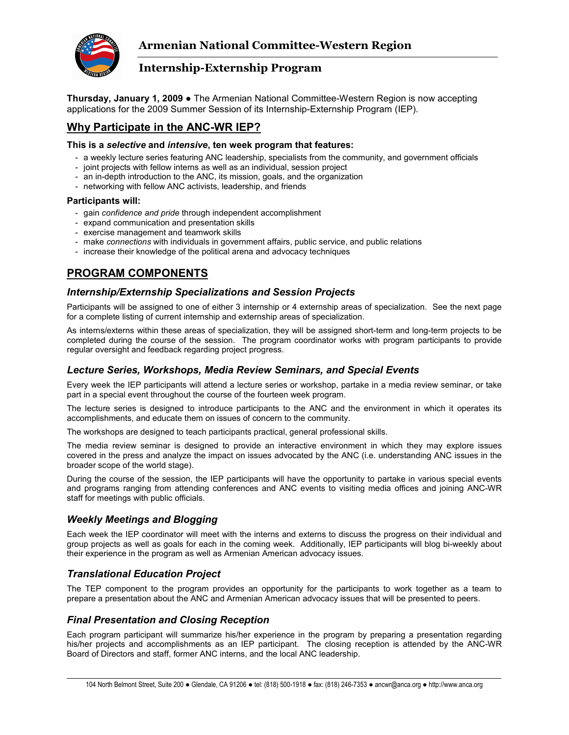

**Thursday, January 1, 2009 ●** The Armenian National Committee-Western Region is now accepting applications for the 2009 Summer Session of its Internship-Externship Program (IEP).

### **Why Participate in the ANC-WR IEP?**

#### **This is a** *selective* **and** *intensive***, ten week program that features:**

- a weekly lecture series featuring ANC leadership, specialists from the community, and government officials
- joint projects with fellow interns as well as an individual, session project
- an in-depth introduction to the ANC, its mission, goals, and the organization
- networking with fellow ANC activists, leadership, and friends

### **Participants will:**

- gain *confidence and pride* through independent accomplishment
- expand communication and presentation skills
- exercise management and teamwork skills
- make *connections* with individuals in government affairs, public service, and public relations
- increase their knowledge of the political arena and advocacy techniques

# **PROGRAM COMPONENTS**

### *Internship/Externship Specializations and Session Projects*

Participants will be assigned to one of either 3 internship or 4 externship areas of specialization. See the next page for a complete listing of current internship and externship areas of specialization.

As interns/externs within these areas of specialization, they will be assigned short-term and long-term projects to be completed during the course of the session. The program coordinator works with program participants to provide regular oversight and feedback regarding project progress.

### *Lecture Series, Workshops, Media Review Seminars, and Special Events*

Every week the IEP participants will attend a lecture series or workshop, partake in a media review seminar, or take part in a special event throughout the course of the fourteen week program.

The lecture series is designed to introduce participants to the ANC and the environment in which it operates its accomplishments, and educate them on issues of concern to the community.

The workshops are designed to teach participants practical, general professional skills.

The media review seminar is designed to provide an interactive environment in which they may explore issues covered in the press and analyze the impact on issues advocated by the ANC (i.e. understanding ANC issues in the broader scope of the world stage).

During the course of the session, the IEP participants will have the opportunity to partake in various special events and programs ranging from attending conferences and ANC events to visiting media offices and joining ANC-WR staff for meetings with public officials.

### *Weekly Meetings and Blogging*

Each week the IEP coordinator will meet with the interns and externs to discuss the progress on their individual and group projects as well as goals for each in the coming week. Additionally, IEP participants will blog bi-weekly about their experience in the program as well as Armenian American advocacy issues.

### *Translational Education Project*

The TEP component to the program provides an opportunity for the participants to work together as a team to prepare a presentation about the ANC and Armenian American advocacy issues that will be presented to peers.

### *Final Presentation and Closing Reception*

Each program participant will summarize his/her experience in the program by preparing a presentation regarding his/her projects and accomplishments as an IEP participant. The closing reception is attended by the ANC-WR Board of Directors and staff, former ANC interns, and the local ANC leadership.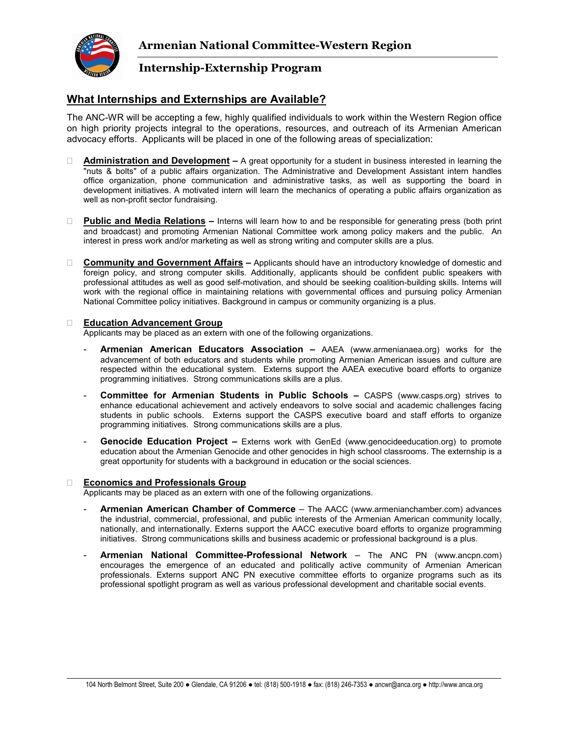

### **What Internships and Externships are Available?**

The ANC-WR will be accepting a few, highly qualified individuals to work within the Western Region office on high priority projects integral to the operations, resources, and outreach of its Armenian American advocacy efforts. Applicants will be placed in one of the following areas of specialization:

 **Administration and Development –** A great opportunity for a student in business interested in learning the "nuts & bolts" of a public affairs organization. The Administrative and Development Assistant intern handles office organization, phone communication and administrative tasks, as well as supporting the board in development initiatives. A motivated intern will learn the mechanics of operating a public affairs organization as well as non-profit sector fundraising.

 **Public and Media Relations –** Interns will learn how to and be responsible for generating press (both print and broadcast) and promoting Armenian National Committee work among policy makers and the public. An interest in press work and/or marketing as well as strong writing and computer skills are a plus.

 **Community and Government Affairs –** Applicants should have an introductory knowledge of domestic and foreign policy, and strong computer skills. Additionally, applicants should be confident public speakers with professional attitudes as well as good self-motivation, and should be seeking coalition-building skills. Interns will work with the regional office in maintaining relations with governmental offices and pursuing policy Armenian National Committee policy initiatives. Background in campus or community organizing is a plus.

#### **Education Advancement Group**

Applicants may be placed as an extern with one of the following organizations.

- **Armenian American Educators Association** AAEA (www.armenianaea.org) works for the advancement of both educators and students while promoting Armenian American issues and culture are respected within the educational system. Externs support the AAEA executive board efforts to organize programming initiatives. Strong communications skills are a plus.
- **Committee for Armenian Students in Public Schools –** CASPS (www.casps.org) strives to enhance educational achievement and actively endeavors to solve social and academic challenges facing students in public schools. Externs support the CASPS executive board and staff efforts to organize programming initiatives. Strong communications skills are a plus.
- **Genocide Education Project –** Externs work with GenEd (www.genocideeducation.org) to promote education about the Armenian Genocide and other genocides in high school classrooms. The externship is a great opportunity for students with a background in education or the social sciences.

#### **Economics and Professionals Group**

Applicants may be placed as an extern with one of the following organizations.

- **Armenian American Chamber of Commerce**  The AACC (www.armenianchamber.com) advances the industrial, commercial, professional, and public interests of the Armenian American community locally, nationally, and internationally. Externs support the AACC executive board efforts to organize programming initiatives. Strong communications skills and business academic or professional background is a plus.
- **Armenian National Committee-Professional Network**  The ANC PN (www.ancpn.com) encourages the emergence of an educated and politically active community of Armenian American professionals. Externs support ANC PN executive committee efforts to organize programs such as its professional spotlight program as well as various professional development and charitable social events.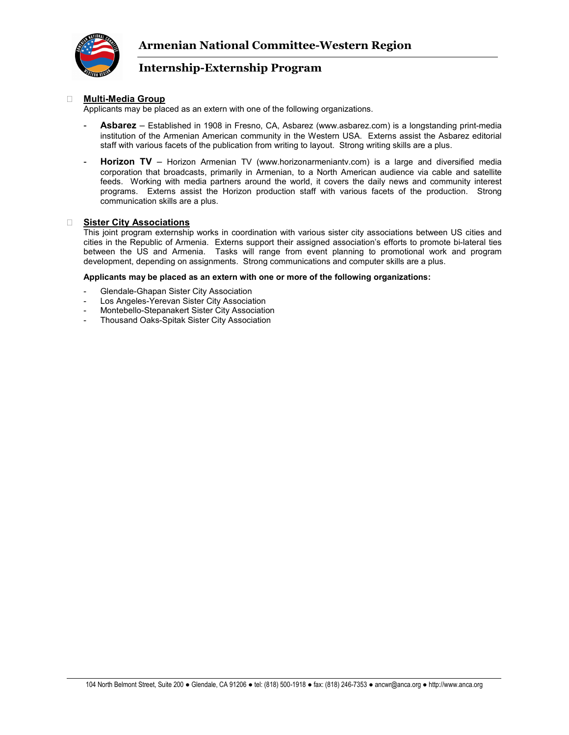

### **Multi-Media Group**

Applicants may be placed as an extern with one of the following organizations.

- Asbarez Established in 1908 in Fresno, CA, Asbarez (www.asbarez.com) is a longstanding print-media institution of the Armenian American community in the Western USA. Externs assist the Asbarez editorial staff with various facets of the publication from writing to layout. Strong writing skills are a plus.
- **Horizon TV**  Horizon Armenian TV (www.horizonarmeniantv.com) is a large and diversified media corporation that broadcasts, primarily in Armenian, to a North American audience via cable and satellite feeds. Working with media partners around the world, it covers the daily news and community interest programs. Externs assist the Horizon production staff with various facets of the production. Strong communication skills are a plus.

#### **Sister City Associations**

This joint program externship works in coordination with various sister city associations between US cities and cities in the Republic of Armenia. Externs support their assigned association's efforts to promote bi-lateral ties between the US and Armenia. Tasks will range from event planning to promotional work and program development, depending on assignments. Strong communications and computer skills are a plus.

#### **Applicants may be placed as an extern with one or more of the following organizations:**

- Glendale-Ghapan Sister City Association
- Los Angeles-Yerevan Sister City Association
- Montebello-Stepanakert Sister City Association
- Thousand Oaks-Spitak Sister City Association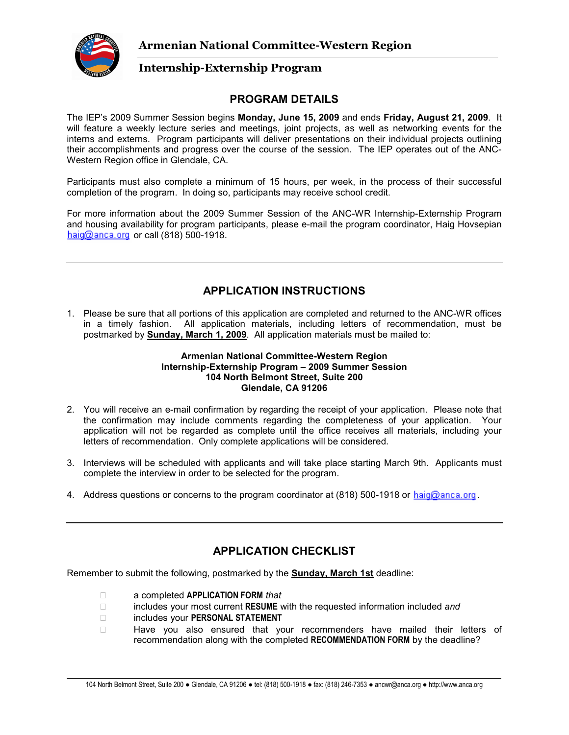

## **PROGRAM DETAILS**

The IEP's 2009 Summer Session begins **Monday, June 15, 2009** and ends **Friday, August 21, 2009**. It will feature a weekly lecture series and meetings, joint projects, as well as networking events for the interns and externs. Program participants will deliver presentations on their individual projects outlining their accomplishments and progress over the course of the session. The IEP operates out of the ANC-Western Region office in Glendale, CA.

Participants must also complete a minimum of 15 hours, per week, in the process of their successful completion of the program. In doing so, participants may receive school credit.

For more information about the 2009 Summer Session of the ANC-WR Internship-Externship Program and housing availability for program participants, please e-mail the program coordinator, Haig Hovsepian  $haiq@anca.org$  or call (818) 500-1918.

# **APPLICATION INSTRUCTIONS**

1. Please be sure that all portions of this application are completed and returned to the ANC-WR offices in a timely fashion. All application materials, including letters of recommendation, must be postmarked by **Sunday, March 1, 2009**. All application materials must be mailed to:

### **Armenian National Committee-Western Region Internship-Externship Program – 2009 Summer Session 104 North Belmont Street, Suite 200 Glendale, CA 91206**

- 2. You will receive an e-mail confirmation by regarding the receipt of your application. Please note that the confirmation may include comments regarding the completeness of your application. Your application will not be regarded as complete until the office receives all materials, including your letters of recommendation. Only complete applications will be considered.
- 3. Interviews will be scheduled with applicants and will take place starting March 9th. Applicants must complete the interview in order to be selected for the program.
- 4. Address questions or concerns to the program coordinator at  $(818)$  500-1918 or haig@anca.org.

# **APPLICATION CHECKLIST**

Remember to submit the following, postmarked by the **Sunday, March 1st** deadline:

 a completed **APPLICATION FORM** *that* includes your most current **RESUME** with the requested information included *and* includes your **PERSONAL STATEMENT** Have you also ensured that your recommenders have mailed their letters of recommendation along with the completed **RECOMMENDATION FORM** by the deadline?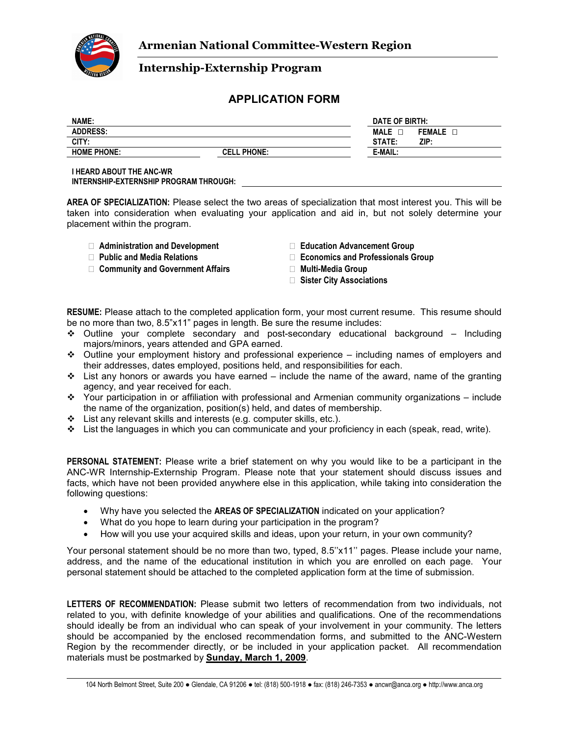

### **APPLICATION FORM**

| NAME:              |                    | DATE OF BIRTH: |               |
|--------------------|--------------------|----------------|---------------|
| <b>ADDRESS:</b>    |                    | <b>MALE</b>    | <b>FEMALE</b> |
| CITY:              |                    | STATE:         | ZIP:          |
| <b>HOME PHONE:</b> | <b>CELL PHONE:</b> | E-MAIL:        |               |
|                    |                    |                |               |

**I HEARD ABOUT THE ANC-WR INTERNSHIP-EXTERNSHIP PROGRAM THROUGH:** 

**AREA OF SPECIALIZATION:** Please select the two areas of specialization that most interest you. This will be taken into consideration when evaluating your application and aid in, but not solely determine your placement within the program.

 **Administration and Development Education Advancement Group Community and Government Affairs <b>Multi-Media Group Multi-Media Group** 

 **Public and Media Relations Economics and Professionals Group Sister City Associations**

**RESUME:** Please attach to the completed application form, your most current resume. This resume should be no more than two, 8.5"x11" pages in length. Be sure the resume includes:

- Outline your complete secondary and post-secondary educational background Including majors/minors, years attended and GPA earned.
- $\div$  Outline your employment history and professional experience including names of employers and their addresses, dates employed, positions held, and responsibilities for each.
- $\div$  List any honors or awards you have earned include the name of the award, name of the granting agency, and year received for each.
- Your participation in or affiliation with professional and Armenian community organizations include the name of the organization, position(s) held, and dates of membership.
- $\div$  List any relevant skills and interests (e.g. computer skills, etc.).
- $\div$  List the languages in which you can communicate and your proficiency in each (speak, read, write).

**PERSONAL STATEMENT:** Please write a brief statement on why you would like to be a participant in the ANC-WR Internship-Externship Program. Please note that your statement should discuss issues and facts, which have not been provided anywhere else in this application, while taking into consideration the following questions:

- Why have you selected the **AREAS OF SPECIALIZATION** indicated on your application?
- What do you hope to learn during your participation in the program?
- How will you use your acquired skills and ideas, upon your return, in your own community?

Your personal statement should be no more than two, typed, 8.5"x11" pages. Please include your name, address, and the name of the educational institution in which you are enrolled on each page. Your personal statement should be attached to the completed application form at the time of submission.

**LETTERS OF RECOMMENDATION:** Please submit two letters of recommendation from two individuals, not related to you, with definite knowledge of your abilities and qualifications. One of the recommendations should ideally be from an individual who can speak of your involvement in your community. The letters should be accompanied by the enclosed recommendation forms, and submitted to the ANC-Western Region by the recommender directly, or be included in your application packet. All recommendation materials must be postmarked by **Sunday, March 1, 2009**.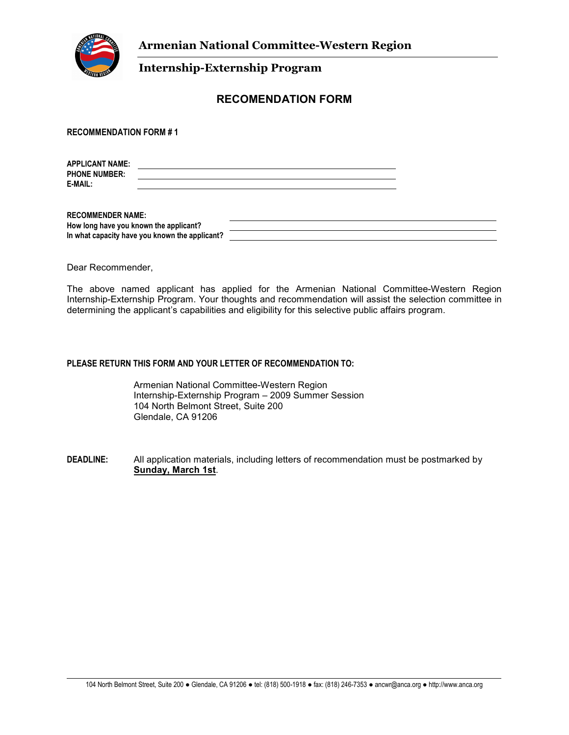

## **RECOMENDATION FORM**

**RECOMMENDATION FORM # 1** 

**APPLICANT NAME: PHONE NUMBER: E-MAIL:** 

**RECOMMENDER NAME: How long have you known the applicant? In what capacity have you known the applicant?** 

Dear Recommender,

The above named applicant has applied for the Armenian National Committee-Western Region Internship-Externship Program. Your thoughts and recommendation will assist the selection committee in determining the applicant's capabilities and eligibility for this selective public affairs program.

### **PLEASE RETURN THIS FORM AND YOUR LETTER OF RECOMMENDATION TO:**

Armenian National Committee-Western Region Internship-Externship Program – 2009 Summer Session 104 North Belmont Street, Suite 200 Glendale, CA 91206

**DEADLINE:** All application materials, including letters of recommendation must be postmarked by **Sunday, March 1st**.